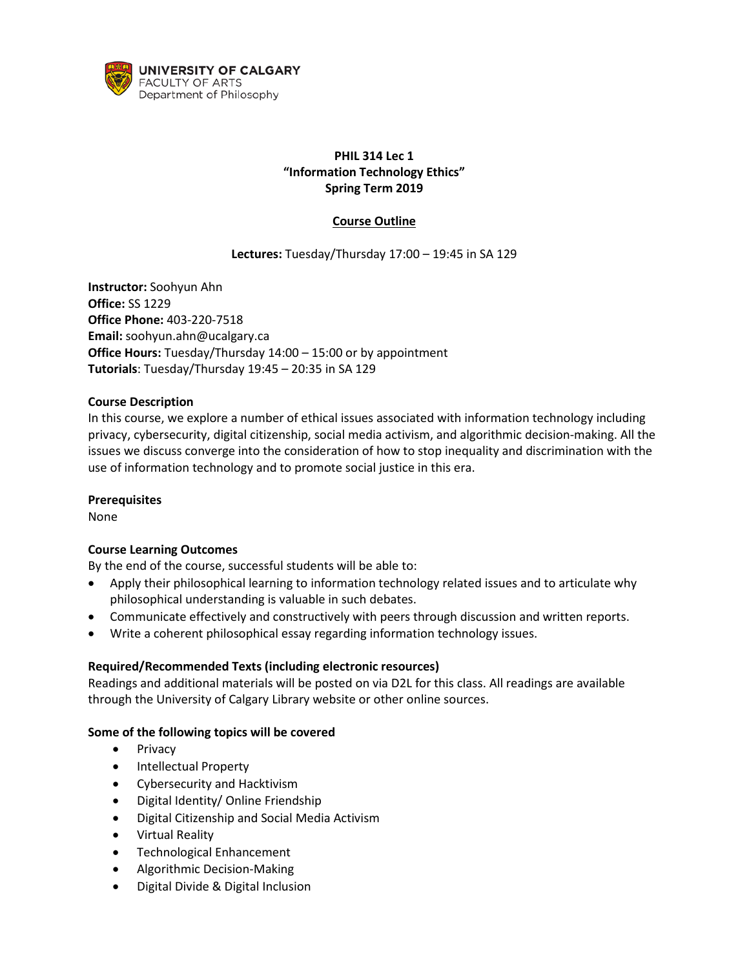

# **PHIL 314 Lec 1 "Information Technology Ethics" Spring Term 2019**

# **Course Outline**

# **Lectures:** Tuesday/Thursday 17:00 – 19:45 in SA 129

**Instructor:** Soohyun Ahn **Office:** SS 1229 **Office Phone:** 403-220-7518 **Email:** soohyun.ahn@ucalgary.ca **Office Hours: Tuesday/Thursday 14:00 – 15:00 or by appointment Tutorials**: Tuesday/Thursday 19:45 – 20:35 in SA 129

## **Course Description**

In this course, we explore a number of ethical issues associated with information technology including privacy, cybersecurity, digital citizenship, social media activism, and algorithmic decision-making. All the issues we discuss converge into the consideration of how to stop inequality and discrimination with the use of information technology and to promote social justice in this era.

### **Prerequisites**

None

## **Course Learning Outcomes**

By the end of the course, successful students will be able to:

- Apply their philosophical learning to information technology related issues and to articulate why philosophical understanding is valuable in such debates.
- Communicate effectively and constructively with peers through discussion and written reports.
- Write a coherent philosophical essay regarding information technology issues.

### **Required/Recommended Texts (including electronic resources)**

Readings and additional materials will be posted on via D2L for this class. All readings are available through the University of Calgary Library website or other online sources.

## **Some of the following topics will be covered**

- Privacy
- Intellectual Property
- Cybersecurity and Hacktivism
- Digital Identity/ Online Friendship
- Digital Citizenship and Social Media Activism
- Virtual Reality
- Technological Enhancement
- Algorithmic Decision-Making
- Digital Divide & Digital Inclusion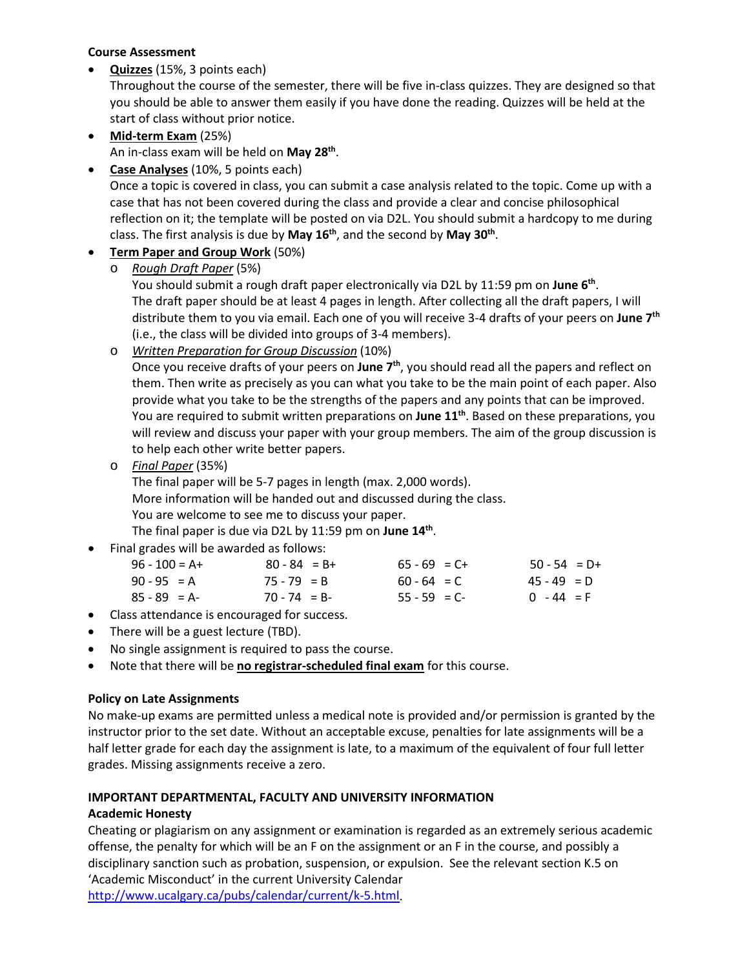## **Course Assessment**

• **Quizzes** (15%, 3 points each)

Throughout the course of the semester, there will be five in-class quizzes. They are designed so that you should be able to answer them easily if you have done the reading. Quizzes will be held at the start of class without prior notice.

- **Mid-term Exam** (25%) An in-class exam will be held on **May 28th**.
- **Case Analyses** (10%, 5 points each)

Once a topic is covered in class, you can submit a case analysis related to the topic. Come up with a case that has not been covered during the class and provide a clear and concise philosophical reflection on it; the template will be posted on via D2L. You should submit a hardcopy to me during class. The first analysis is due by **May 16th**, and the second by **May 30th**.

# • **Term Paper and Group Work** (50%)

o *Rough Draft Paper* (5%)

You should submit a rough draft paper electronically via D2L by 11:59 pm on **June 6th**. The draft paper should be at least 4 pages in length. After collecting all the draft papers, I will distribute them to you via email. Each one of you will receive 3-4 drafts of your peers on **June 7th** (i.e., the class will be divided into groups of 3-4 members).

o *Written Preparation for Group Discussion* (10%)

Once you receive drafts of your peers on **June 7th**, you should read all the papers and reflect on them. Then write as precisely as you can what you take to be the main point of each paper. Also provide what you take to be the strengths of the papers and any points that can be improved. You are required to submit written preparations on **June 11th**. Based on these preparations, you will review and discuss your paper with your group members. The aim of the group discussion is to help each other write better papers.

o *Final Paper* (35%)

The final paper will be 5-7 pages in length (max. 2,000 words). More information will be handed out and discussed during the class. You are welcome to see me to discuss your paper.

The final paper is due via D2L by 11:59 pm on **June 14th**.

• Final grades will be awarded as follows:

| $96 - 100 = A +$ | $80 - 84 = B +$ | $65 - 69 = C +$ | $50 - 54 = D+$ |
|------------------|-----------------|-----------------|----------------|
| $90 - 95 = A$    | $75 - 79 = B$   | $60 - 64 = C$   | $45 - 49 = D$  |
| $85 - 89 = A$    | $70 - 74 = B$   | $55 - 59 = C$   | $0 - 44 = F$   |

- Class attendance is encouraged for success.
- There will be a guest lecture (TBD).
- No single assignment is required to pass the course.
- Note that there will be **no registrar-scheduled final exam** for this course.

# **Policy on Late Assignments**

No make-up exams are permitted unless a medical note is provided and/or permission is granted by the instructor prior to the set date. Without an acceptable excuse, penalties for late assignments will be a half letter grade for each day the assignment is late, to a maximum of the equivalent of four full letter grades. Missing assignments receive a zero.

# **IMPORTANT DEPARTMENTAL, FACULTY AND UNIVERSITY INFORMATION**

# **Academic Honesty**

Cheating or plagiarism on any assignment or examination is regarded as an extremely serious academic offense, the penalty for which will be an F on the assignment or an F in the course, and possibly a disciplinary sanction such as probation, suspension, or expulsion. See the relevant section K.5 on 'Academic Misconduct' in the current University Calendar

[http://www.ucalgary.ca/pubs/calendar/current/k-5.html.](http://www.ucalgary.ca/pubs/calendar/current/k-5.html)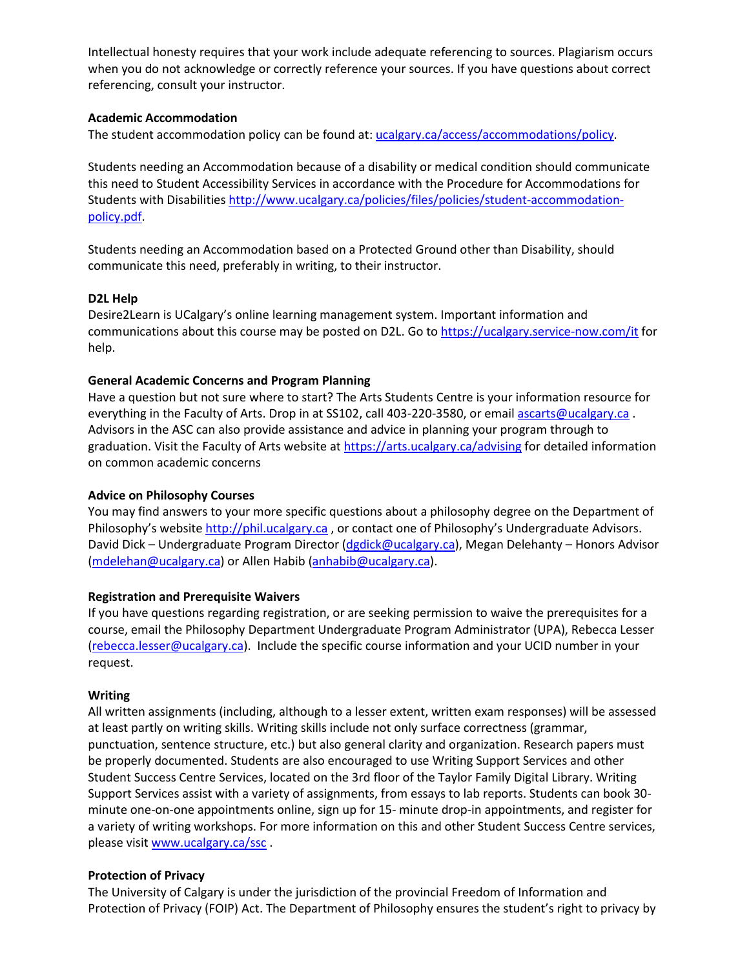Intellectual honesty requires that your work include adequate referencing to sources. Plagiarism occurs when you do not acknowledge or correctly reference your sources. If you have questions about correct referencing, consult your instructor.

### **Academic Accommodation**

The student accommodation policy can be found at: [ucalgary.ca/access/accommodations/policy.](http://www.ucalgary.ca/access/accommodations/policy)

Students needing an Accommodation because of a disability or medical condition should communicate this need to Student Accessibility Services in accordance with the Procedure for Accommodations for Students with Disabilities [http://www.ucalgary.ca/policies/files/policies/student-accommodation](http://www.ucalgary.ca/policies/files/policies/student-accommodation-policy.pdf)[policy.pdf.](http://www.ucalgary.ca/policies/files/policies/student-accommodation-policy.pdf)

Students needing an Accommodation based on a Protected Ground other than Disability, should communicate this need, preferably in writing, to their instructor.

### **D2L Help**

Desire2Learn is UCalgary's online learning management system. Important information and communications about this course may be posted on D2L. Go t[o https://ucalgary.service-now.com/it](https://ucalgary.service-now.com/it) for help.

### **General Academic Concerns and Program Planning**

Have a question but not sure where to start? The Arts Students Centre is your information resource for everything in the Faculty of Arts. Drop in at SS102, call 403-220-3580, or email [ascarts@ucalgary.ca](mailto:ascarts@ucalgary.ca). Advisors in the ASC can also provide assistance and advice in planning your program through to graduation. Visit the Faculty of Arts website at<https://arts.ucalgary.ca/advising> for detailed information on common academic concerns

### **Advice on Philosophy Courses**

You may find answers to your more specific questions about a philosophy degree on the Department of Philosophy's website [http://phil.ucalgary.ca](http://phil.ucalgary.ca/), or contact one of Philosophy's Undergraduate Advisors. David Dick – Undergraduate Program Director [\(dgdick@ucalgary.ca\)](mailto:dgdick@ucalgary.ca), Megan Delehanty – Honors Advisor [\(mdelehan@ucalgary.ca\)](mailto:mdelehan@ucalgary.ca) or Allen Habib [\(anhabib@ucalgary.ca\)](mailto:anhabib@ucalgary.ca).

### **Registration and Prerequisite Waivers**

If you have questions regarding registration, or are seeking permission to waive the prerequisites for a course, email the Philosophy Department Undergraduate Program Administrator (UPA), Rebecca Lesser [\(rebecca.lesser@ucalgary.ca\)](mailto:rebecca.lesser@ucalgary.ca). Include the specific course information and your UCID number in your request.

### **Writing**

All written assignments (including, although to a lesser extent, written exam responses) will be assessed at least partly on writing skills. Writing skills include not only surface correctness (grammar, punctuation, sentence structure, etc.) but also general clarity and organization. Research papers must be properly documented. Students are also encouraged to use Writing Support Services and other Student Success Centre Services, located on the 3rd floor of the Taylor Family Digital Library. Writing Support Services assist with a variety of assignments, from essays to lab reports. Students can book 30 minute one-on-one appointments online, sign up for 15- minute drop-in appointments, and register for a variety of writing workshops. For more information on this and other Student Success Centre services, please visit [www.ucalgary.ca/ssc](http://www.ucalgary.ca/ssc) .

### **Protection of Privacy**

The University of Calgary is under the jurisdiction of the provincial Freedom of Information and Protection of Privacy (FOIP) Act. The Department of Philosophy ensures the student's right to privacy by